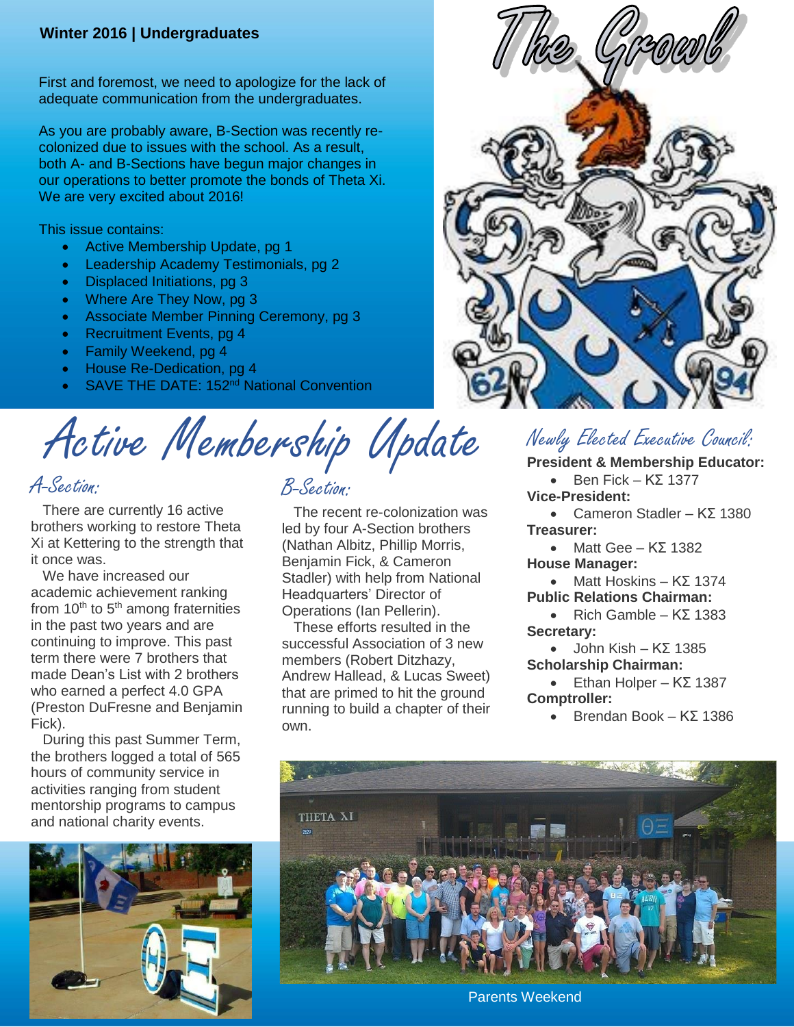#### **Winter 2016 | Undergraduates**

First and foremost, we need to apologize for the lack of adequate communication from the undergraduates.

As you are probably aware, B-Section was recently recolonized due to issues with the school. As a result, both A- and B-Sections have begun major changes in our operations to better promote the bonds of Theta Xi. We are very excited about 2016!

This issue contains:

- Active Membership Update, pg 1
- Leadership Academy Testimonials, pg 2
- Displaced Initiations, pg 3
- Where Are They Now, pg 3
- Associate Member Pinning Ceremony, pg 3
- Recruitment Events, pg 4
- Family Weekend, pg 4
- House Re-Dedication, pg 4
- SAVE THE DATE: 152<sup>nd</sup> National Convention

Active Membership Update

A-Section:

There are currently 16 active brothers working to restore Theta Xi at Kettering to the strength that it once was.

We have increased our academic achievement ranking from  $10<sup>th</sup>$  to  $5<sup>th</sup>$  among fraternities in the past two years and are continuing to improve. This past term there were 7 brothers that made Dean's List with 2 brothers who earned a perfect 4.0 GPA (Preston DuFresne and Benjamin Fick).

During this past Summer Term, the brothers logged a total of 565 hours of community service in activities ranging from student mentorship programs to campus and national charity events.



#### B-Section:

The recent re-colonization was led by four A-Section brothers (Nathan Albitz, Phillip Morris, Benjamin Fick, & Cameron Stadler) with help from National Headquarters' Director of Operations (Ian Pellerin).

These efforts resulted in the successful Association of 3 new members (Robert Ditzhazy, Andrew Hallead, & Lucas Sweet) that are primed to hit the ground running to build a chapter of their own.



## Newly Elected Executive Council:

#### **President & Membership Educator:**

- $\bullet$  Ben Fick K $\Sigma$  1377 **Vice-President:**
- Cameron Stadler KΣ 1380 **Treasurer:**
- Matt Gee  $K\Sigma$  1382 **House Manager:**
- Matt Hoskins  $K\Sigma$  1374 **Public Relations Chairman:**
- Rich Gamble  $K\Sigma$  1383 **Secretary:**
- $\bullet$  John Kish K $\Sigma$  1385 **Scholarship Chairman:**

 $\bullet$  Ethan Holper – K $\Sigma$  1387 **Comptroller:**

Brendan Book – KΣ 1386



Parents Weekend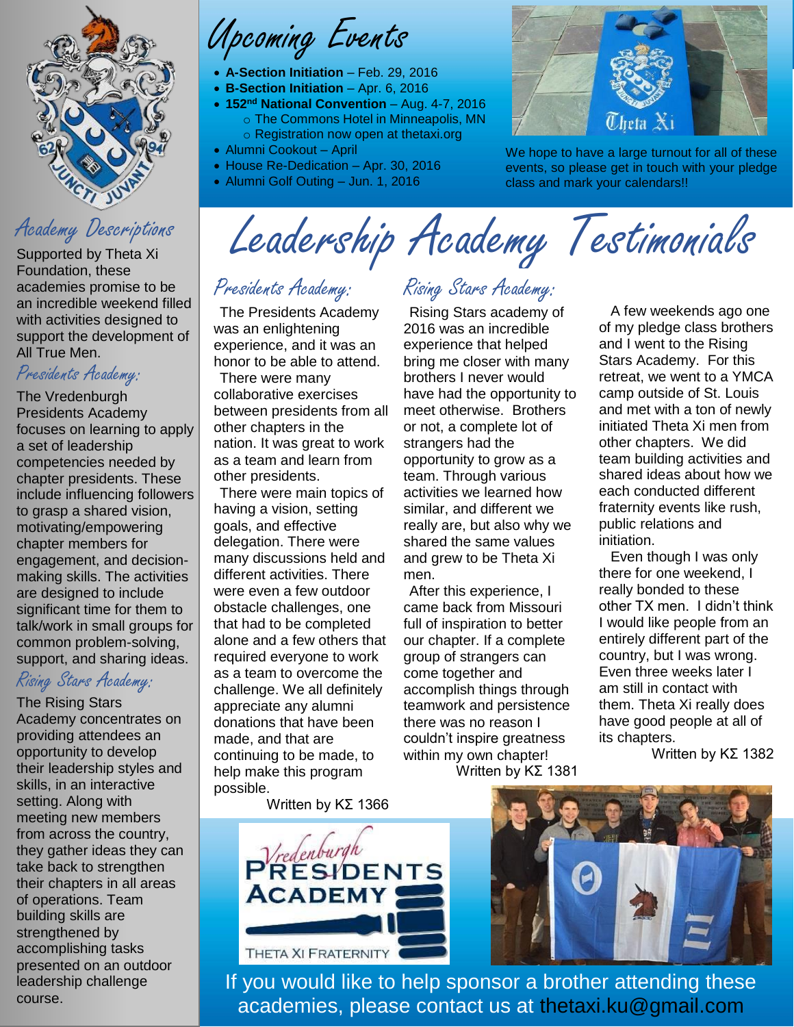

#### Academy Descriptions

Supported by Theta Xi Foundation, these academies promise to be an incredible weekend filled with activities designed to support the development of All True Men.

#### Presidents Academy:

The Vredenburgh Presidents Academy focuses on learning to apply a set of leadership competencies needed by chapter presidents. These include influencing followers to grasp a shared vision, motivating/empowering chapter members for engagement, and decisionmaking skills. The activities are designed to include significant time for them to talk/work in small groups for common problem-solving, support, and sharing ideas.

## Rising Stars Academy:

The Rising Stars

Academy concentrates on providing attendees an opportunity to develop their leadership styles and skills, in an interactive setting. Along with meeting new members from across the country, they gather ideas they can take back to strengthen their chapters in all areas of operations. Team building skills are strengthened by accomplishing tasks presented on an outdoor leadership challenge course.

Upcoming Events

- **A-Section Initiation** Feb. 29, 2016
- **B-Section Initiation** Apr. 6, 2016
- **152nd National Convention** Aug. 4-7, 2016 o The Commons Hotel in Minneapolis, MN o Registration now open at thetaxi.org
- Alumni Cookout April
- House Re-Dedication Apr. 30, 2016
- Alumni Golf Outing Jun. 1, 2016



We hope to have a large turnout for all of these events, so please get in touch with your pledge class and mark your calendars!!

Leadership Academy Testimonials

#### Presidents Academy:

The Presidents Academy was an enlightening experience, and it was an honor to be able to attend.

There were many collaborative exercises between presidents from all other chapters in the nation. It was great to work as a team and learn from other presidents.

There were main topics of having a vision, setting goals, and effective delegation. There were many discussions held and different activities. There were even a few outdoor obstacle challenges, one that had to be completed alone and a few others that required everyone to work as a team to overcome the challenge. We all definitely appreciate any alumni donations that have been made, and that are continuing to be made, to help make this program possible.

Written by KΣ 1366

# Rising Stars Academy:

Rising Stars academy of 2016 was an incredible experience that helped bring me closer with many brothers I never would have had the opportunity to meet otherwise. Brothers or not, a complete lot of strangers had the opportunity to grow as a team. Through various activities we learned how similar, and different we really are, but also why we shared the same values and grew to be Theta Xi men.

After this experience, I came back from Missouri full of inspiration to better our chapter. If a complete group of strangers can come together and accomplish things through teamwork and persistence there was no reason I couldn't inspire greatness within my own chapter! Written by KΣ 1381

A few weekends ago one of my pledge class brothers and I went to the Rising Stars Academy. For this retreat, we went to a YMCA camp outside of St. Louis and met with a ton of newly initiated Theta Xi men from other chapters. We did team building activities and shared ideas about how we each conducted different fraternity events like rush, public relations and initiation.

Even though I was only there for one weekend, I really bonded to these other TX men. I didn't think I would like people from an entirely different part of the country, but I was wrong. Even three weeks later I am still in contact with them. Theta Xi really does have good people at all of its chapters.

Written by KΣ 1382

 $P$  $R$ ESIDENTS **ACADEMY** THETA XI FRATERNITY



If you would like to help sponsor a brother attending these academies, please contact us at thetaxi.ku@gmail.com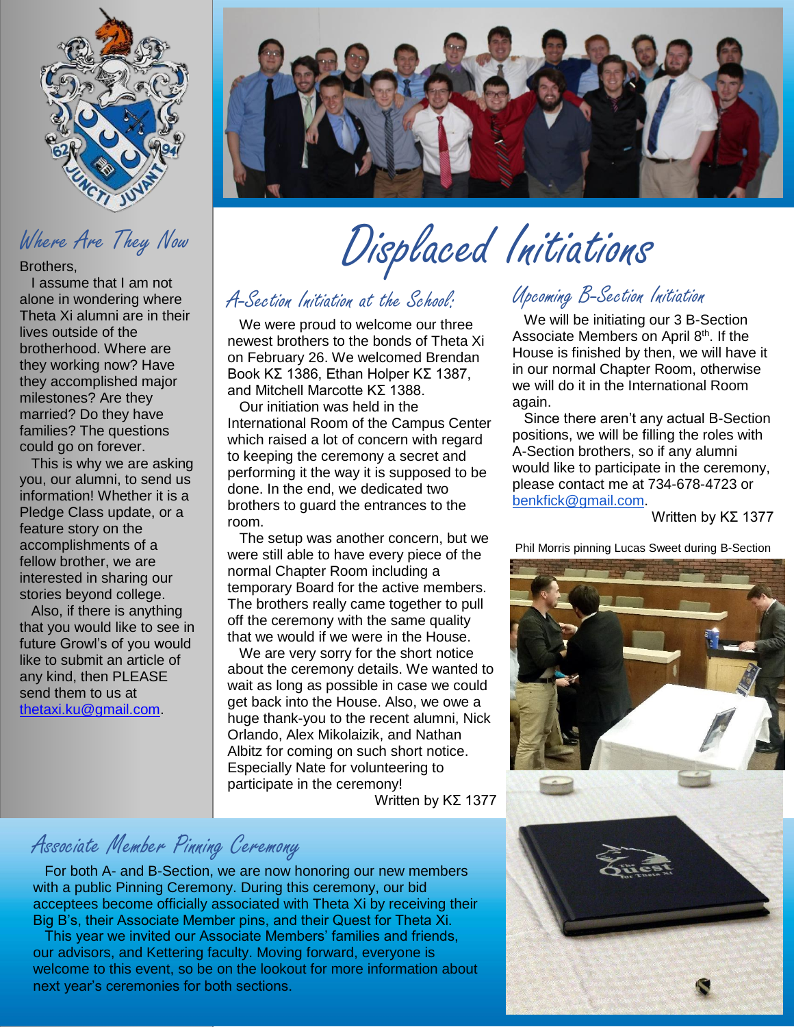

# Where Are They Now

Brothers,

I assume that I am not alone in wondering where Theta Xi alumni are in their lives outside of the brotherhood. Where are they working now? Have they accomplished major milestones? Are they married? Do they have families? The questions could go on forever.

This is why we are asking you, our alumni, to send us information! Whether it is a Pledge Class update, or a feature story on the accomplishments of a fellow brother, we are interested in sharing our stories beyond college.

Also, if there is anything that you would like to see in future Growl's of you would like to submit an article of any kind, then PLEASE send them to us at [thetaxi.ku@gmail.com.](mailto:thetaxi.ku@gmail.com)



# Displaced Initiations

#### A-Section Initiation at the School:

We were proud to welcome our three newest brothers to the bonds of Theta Xi on February 26. We welcomed Brendan Book KΣ 1386, Ethan Holper KΣ 1387, and Mitchell Marcotte KΣ 1388.

Our initiation was held in the International Room of the Campus Center which raised a lot of concern with regard to keeping the ceremony a secret and performing it the way it is supposed to be done. In the end, we dedicated two brothers to guard the entrances to the room.

The setup was another concern, but we were still able to have every piece of the normal Chapter Room including a temporary Board for the active members. The brothers really came together to pull off the ceremony with the same quality that we would if we were in the House.

We are very sorry for the short notice about the ceremony details. We wanted to wait as long as possible in case we could get back into the House. Also, we owe a huge thank-you to the recent alumni, Nick Orlando, Alex Mikolaizik, and Nathan Albitz for coming on such short notice. Especially Nate for volunteering to participate in the ceremony! Written by KΣ 1377

## Associate Member Pinning Ceremony

For both A- and B-Section, we are now honoring our new members with a public Pinning Ceremony. During this ceremony, our bid acceptees become officially associated with Theta Xi by receiving their Big B's, their Associate Member pins, and their Quest for Theta Xi.

This year we invited our Associate Members' families and friends, our advisors, and Kettering faculty. Moving forward, everyone is welcome to this event, so be on the lookout for more information about next year's ceremonies for both sections.

# Upcoming B-Section Initiation

We will be initiating our 3 B-Section Associate Members on April 8<sup>th</sup>. If the House is finished by then, we will have it in our normal Chapter Room, otherwise we will do it in the International Room again.

Since there aren't any actual B-Section positions, we will be filling the roles with A-Section brothers, so if any alumni would like to participate in the ceremony, please contact me at 734-678-4723 or [benkfick@gmail.com.](mailto:benkfick@gmail.com)

Written by KΣ 1377

Phil Morris pinning Lucas Sweet during B-Section